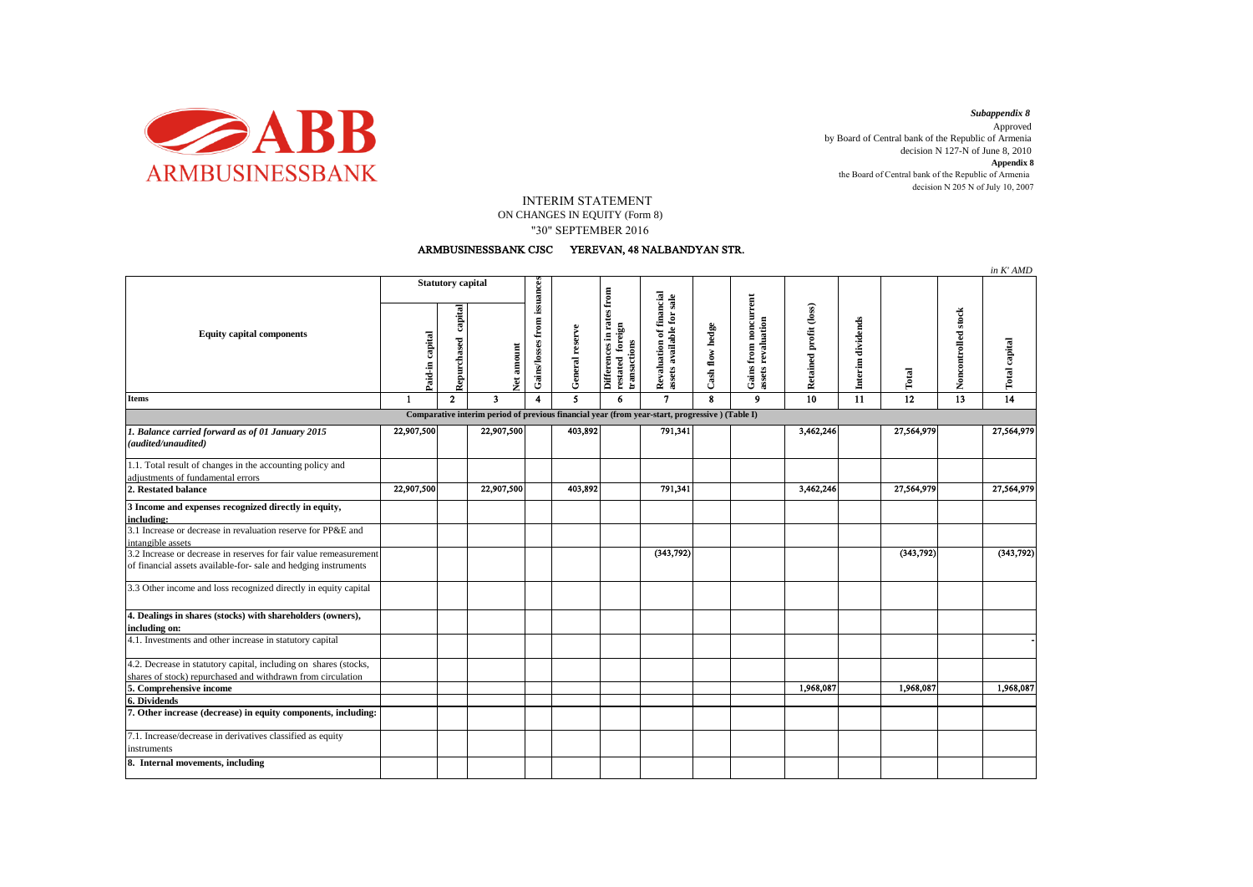

decision N 205 N of July 10, 2007 *Subappendix 8*  Approved by Board of Central bank of the Republic of Armenia decision N 127-N of June 8, 2010 **Appendix 8** the Board of Central bank of the Republic of Armenia

## INTERIM STATEMENT

ON CHANGES IN EQUITY (Form 8) "30" SEPTEMBER 2016

## ARMBUSINESSBANK CJSC YEREVAN, 48 NALBANDYAN STR.

|                                                                                                                                      |                          |                        |                         |                             |                 |                                                               |                                                       |                 |                                                       |                        |                   |                 |                     | in K'AMD             |
|--------------------------------------------------------------------------------------------------------------------------------------|--------------------------|------------------------|-------------------------|-----------------------------|-----------------|---------------------------------------------------------------|-------------------------------------------------------|-----------------|-------------------------------------------------------|------------------------|-------------------|-----------------|---------------------|----------------------|
| <b>Equity capital components</b>                                                                                                     | <b>Statutory capital</b> |                        |                         |                             |                 |                                                               |                                                       |                 |                                                       |                        |                   |                 |                     |                      |
|                                                                                                                                      | Paid-in capital          | capital<br>Repurchased | amount<br><b>Set</b>    | Gains/losses from issuances | General reserve | Differences in rates from<br>restated foreign<br>transactions | Revaluation of financial<br>assets available for sale | Cash flow hedge | noncurrent<br>revaluation<br>from<br>Gains:<br>assets | Retained profit (loss) | Interim dividends | $\rm Total$     | Noncontrolled stock | <b>Total capital</b> |
| <b>Items</b>                                                                                                                         | $\blacksquare$           | $\mathbf{2}$           | $\overline{\mathbf{3}}$ | $\overline{\mathbf{4}}$     | 5.              | 6                                                             | $\mathbf{7}$                                          | $\mathbf{R}$    | 9                                                     | 10                     | $\overline{11}$   | $\overline{12}$ | $\overline{13}$     | $\overline{14}$      |
| Comparative interim period of previous financial year (from year-start, progressive) (Table I)                                       |                          |                        |                         |                             |                 |                                                               |                                                       |                 |                                                       |                        |                   |                 |                     |                      |
| 1. Balance carried forward as of 01 January 2015<br>(audited/unaudited)                                                              | 22,907,500               |                        | 22,907,500              |                             | 403,892         |                                                               | 791,341                                               |                 |                                                       | 3,462,246              |                   | 27,564,979      |                     | 27,564,979           |
| 1.1. Total result of changes in the accounting policy and<br>adjustments of fundamental errors                                       |                          |                        |                         |                             |                 |                                                               |                                                       |                 |                                                       |                        |                   |                 |                     |                      |
| 2. Restated balance                                                                                                                  | 22,907,500               |                        | 22,907,500              |                             | 403.892         |                                                               | 791.341                                               |                 |                                                       | 3.462.246              |                   | 27,564,979      |                     | 27,564,979           |
| 3 Income and expenses recognized directly in equity,<br>including:                                                                   |                          |                        |                         |                             |                 |                                                               |                                                       |                 |                                                       |                        |                   |                 |                     |                      |
| 3.1 Increase or decrease in revaluation reserve for PP&E and<br>intangible assets                                                    |                          |                        |                         |                             |                 |                                                               |                                                       |                 |                                                       |                        |                   |                 |                     |                      |
| 3.2 Increase or decrease in reserves for fair value remeasurement<br>of financial assets available-for- sale and hedging instruments |                          |                        |                         |                             |                 |                                                               | (343,792)                                             |                 |                                                       |                        |                   | (343,792)       |                     | (343,792)            |
| 3.3 Other income and loss recognized directly in equity capital                                                                      |                          |                        |                         |                             |                 |                                                               |                                                       |                 |                                                       |                        |                   |                 |                     |                      |
| 4. Dealings in shares (stocks) with shareholders (owners),<br>including on:                                                          |                          |                        |                         |                             |                 |                                                               |                                                       |                 |                                                       |                        |                   |                 |                     |                      |
| 4.1. Investments and other increase in statutory capital                                                                             |                          |                        |                         |                             |                 |                                                               |                                                       |                 |                                                       |                        |                   |                 |                     |                      |
| 4.2. Decrease in statutory capital, including on shares (stocks,<br>shares of stock) repurchased and withdrawn from circulation      |                          |                        |                         |                             |                 |                                                               |                                                       |                 |                                                       |                        |                   |                 |                     |                      |
| 5. Comprehensive income                                                                                                              |                          |                        |                         |                             |                 |                                                               |                                                       |                 |                                                       | 1,968,087              |                   | 1,968,087       |                     | 1,968,087            |
| 6. Dividends                                                                                                                         |                          |                        |                         |                             |                 |                                                               |                                                       |                 |                                                       |                        |                   |                 |                     |                      |
| 7. Other increase (decrease) in equity components, including:                                                                        |                          |                        |                         |                             |                 |                                                               |                                                       |                 |                                                       |                        |                   |                 |                     |                      |
| 7.1. Increase/decrease in derivatives classified as equity<br>instruments                                                            |                          |                        |                         |                             |                 |                                                               |                                                       |                 |                                                       |                        |                   |                 |                     |                      |
| 8. Internal movements, including                                                                                                     |                          |                        |                         |                             |                 |                                                               |                                                       |                 |                                                       |                        |                   |                 |                     |                      |